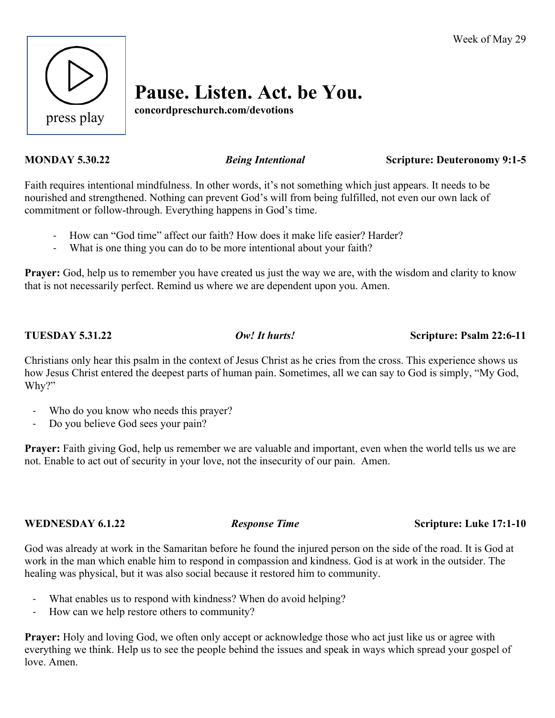

# **Pause. Listen. Act. be You.**

**concordpreschurch.com/devotions**

**MONDAY 5.30.22** *Being Intentional* **Scripture: Deuteronomy 9:1-5**

Faith requires intentional mindfulness. In other words, it's not something which just appears. It needs to be nourished and strengthened. Nothing can prevent God's will from being fulfilled, not even our own lack of commitment or follow-through. Everything happens in God's time.

- How can "God time" affect our faith? How does it make life easier? Harder?
- What is one thing you can do to be more intentional about your faith?

**Prayer:** God, help us to remember you have created us just the way we are, with the wisdom and clarity to know that is not necessarily perfect. Remind us where we are dependent upon you. Amen.

Christians only hear this psalm in the context of Jesus Christ as he cries from the cross. This experience shows us how Jesus Christ entered the deepest parts of human pain. Sometimes, all we can say to God is simply, "My God, Why?"

- Who do you know who needs this prayer?
- Do you believe God sees your pain?

**Prayer:** Faith giving God, help us remember we are valuable and important, even when the world tells us we are not. Enable to act out of security in your love, not the insecurity of our pain. Amen.

**WEDNESDAY 6.1.22** *Response Time* Scripture: Luke 17:1-10

God was already at work in the Samaritan before he found the injured person on the side of the road. It is God at work in the man which enable him to respond in compassion and kindness. God is at work in the outsider. The healing was physical, but it was also social because it restored him to community.

- What enables us to respond with kindness? When do avoid helping?
- How can we help restore others to community?

**Prayer:** Holy and loving God, we often only accept or acknowledge those who act just like us or agree with everything we think. Help us to see the people behind the issues and speak in ways which spread your gospel of love. Amen.

**TUESDAY 5.31.22** *Ow! It hurts!* **Scripture: Psalm 22:6-11**